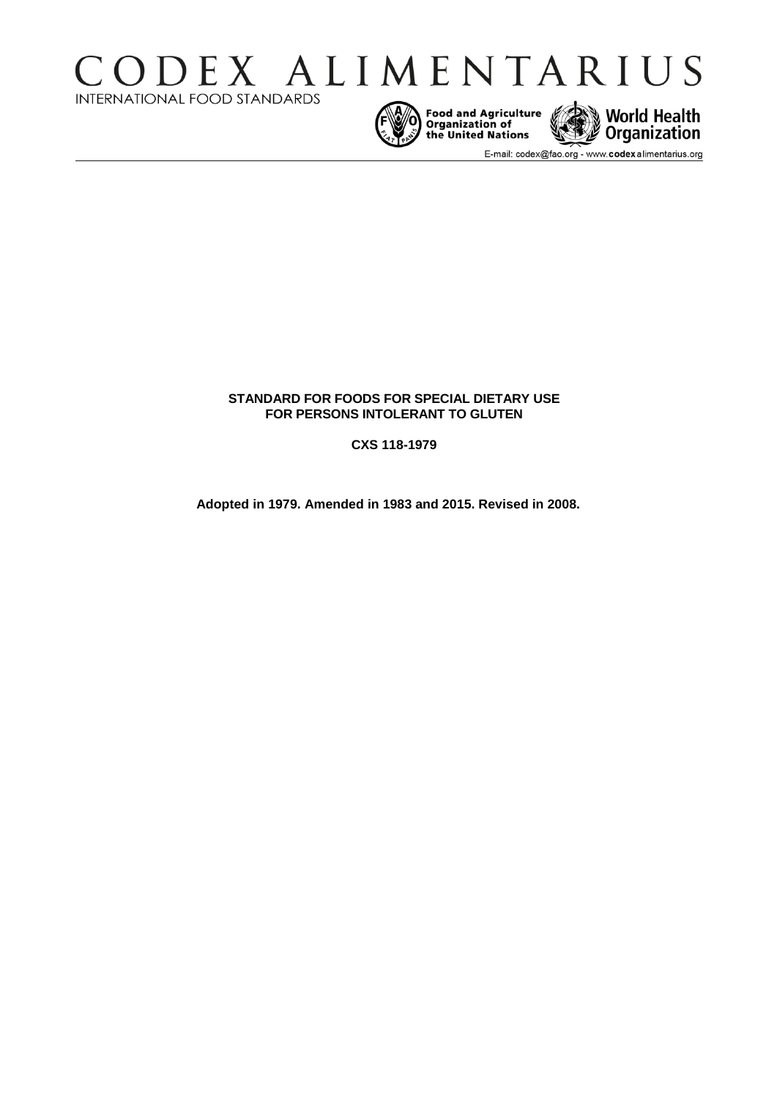







E-mail: codex@fao.org - www.codexalimentarius.org

# **STANDARD FOR FOODS FOR SPECIAL DIETARY USE FOR PERSONS INTOLERANT TO GLUTEN**

**CXS 118-1979**

**Adopted in 1979. Amended in 1983 and 2015. Revised in 2008.**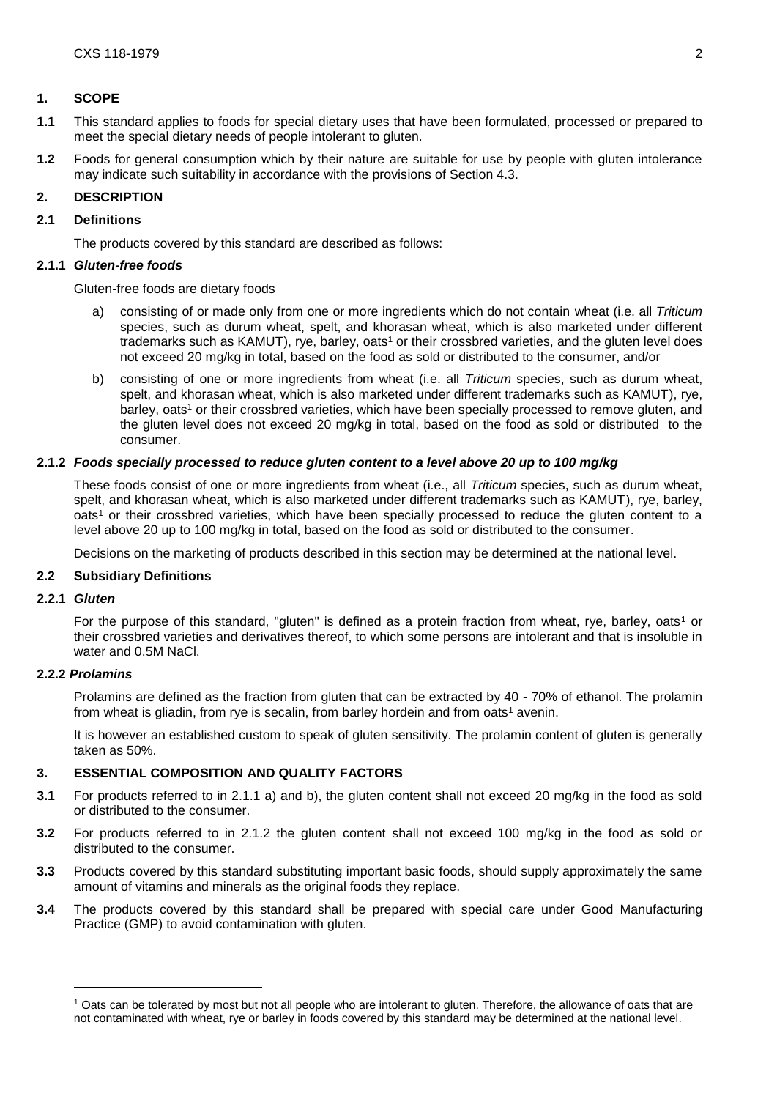### **1. SCOPE**

- **1.1** This standard applies to foods for special dietary uses that have been formulated, processed or prepared to meet the special dietary needs of people intolerant to gluten.
- **1.2** Foods for general consumption which by their nature are suitable for use by people with gluten intolerance may indicate such suitability in accordance with the provisions of Section 4.3.

### **2. DESCRIPTION**

### **2.1 Definitions**

The products covered by this standard are described as follows:

### **2.1.1** *Gluten-free foods*

Gluten-free foods are dietary foods

- a) consisting of or made only from one or more ingredients which do not contain wheat (i.e. all *Triticum* species, such as durum wheat, spelt, and khorasan wheat, which is also marketed under different trademarks such as KAMUT), rye, barley, oats<sup>1</sup> or their crossbred varieties, and the gluten level does not exceed 20 mg/kg in total, based on the food as sold or distributed to the consumer, and/or
- b) consisting of one or more ingredients from wheat (i.e. all *Triticum* species, such as durum wheat, spelt, and khorasan wheat, which is also marketed under different trademarks such as KAMUT), rye, barley, oats<sup>1</sup> or their crossbred varieties, which have been specially processed to remove gluten, and the gluten level does not exceed 20 mg/kg in total, based on the food as sold or distributed to the consumer.

### **2.1.2** *Foods specially processed to reduce gluten content to a level above 20 up to 100 mg/kg*

These foods consist of one or more ingredients from wheat (i.e., all *Triticum* species, such as durum wheat, spelt, and khorasan wheat, which is also marketed under different trademarks such as KAMUT), rye, barley, oats<sup>1</sup> or their crossbred varieties, which have been specially processed to reduce the gluten content to a level above 20 up to 100 mg/kg in total, based on the food as sold or distributed to the consumer.

Decisions on the marketing of products described in this section may be determined at the national level.

#### **2.2 Subsidiary Definitions**

#### **2.2.1** *Gluten*

For the purpose of this standard, "gluten" is defined as a protein fraction from wheat, rye, barley, oats<sup>1</sup> or their crossbred varieties and derivatives thereof, to which some persons are intolerant and that is insoluble in water and 0.5M NaCl.

#### **2.2.2** *Prolamins*

-

Prolamins are defined as the fraction from gluten that can be extracted by 40 - 70% of ethanol. The prolamin from wheat is gliadin, from rye is secalin, from barley hordein and from oats<sup>1</sup> avenin.

It is however an established custom to speak of gluten sensitivity. The prolamin content of gluten is generally taken as 50%.

### **3. ESSENTIAL COMPOSITION AND QUALITY FACTORS**

- **3.1** For products referred to in 2.1.1 a) and b), the gluten content shall not exceed 20 mg/kg in the food as sold or distributed to the consumer.
- **3.2** For products referred to in 2.1.2 the gluten content shall not exceed 100 mg/kg in the food as sold or distributed to the consumer.
- **3.3** Products covered by this standard substituting important basic foods, should supply approximately the same amount of vitamins and minerals as the original foods they replace.
- **3.4** The products covered by this standard shall be prepared with special care under Good Manufacturing Practice (GMP) to avoid contamination with gluten.

<sup>1</sup> Oats can be tolerated by most but not all people who are intolerant to gluten. Therefore, the allowance of oats that are not contaminated with wheat, rye or barley in foods covered by this standard may be determined at the national level.